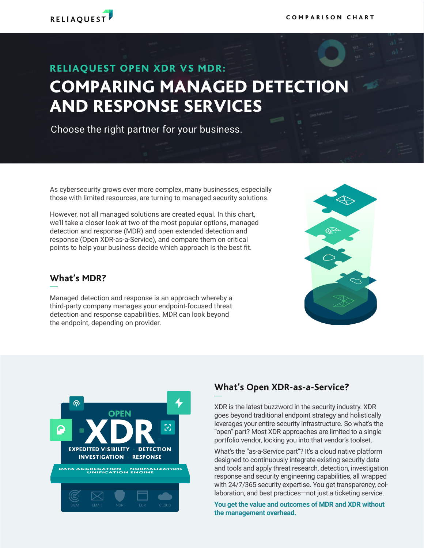

## RELIAQUEST OPEN XDR VS MDR: COMPARING MANAGED DETECTION AND RESPONSE SERVICES

Choose the right partner for your business.

As cybersecurity grows ever more complex, many businesses, especially those with limited resources, are turning to managed security solutions.

However, not all managed solutions are created equal. In this chart, we'll take a closer look at two of the most popular options, managed detection and response (MDR) and open extended detection and response (Open XDR-as-a-Service), and compare them on critical points to help your business decide which approach is the best fit.

#### **What's MDR?**

Managed detection and response is an approach whereby a third-party company manages your endpoint-focused threat detection and response capabilities. MDR can look beyond the endpoint, depending on provider.





### **What's Open XDR-as-a-Service?**

XDR is the latest buzzword in the security industry. XDR goes beyond traditional endpoint strategy and holistically leverages your entire security infrastructure. So what's the "open" part? Most XDR approaches are limited to a single portfolio vendor, locking you into that vendor's toolset.

What's the "as-a-Service part"? It's a cloud native platform designed to continuously integrate existing security data and tools and apply threat research, detection, investigation response and security engineering capabilities, all wrapped with 24/7/365 security expertise. You get transparency, collaboration, and best practices—not just a ticketing service.

**You get the value and outcomes of MDR and XDR without the management overhead.**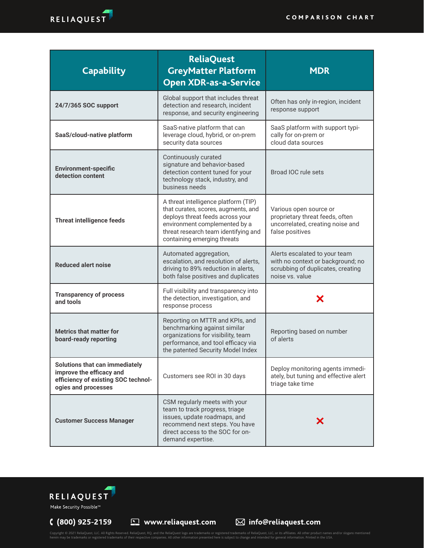

| <b>Capability</b>                                                                                                               | <b>ReliaQuest</b><br><b>GreyMatter Platform</b><br><b>Open XDR-as-a-Service</b>                                                                                                                                         | <b>MDR</b>                                                                                                                 |
|---------------------------------------------------------------------------------------------------------------------------------|-------------------------------------------------------------------------------------------------------------------------------------------------------------------------------------------------------------------------|----------------------------------------------------------------------------------------------------------------------------|
| 24/7/365 SOC support                                                                                                            | Global support that includes threat<br>detection and research, incident<br>response, and security engineering                                                                                                           | Often has only in-region, incident<br>response support                                                                     |
| SaaS/cloud-native platform                                                                                                      | SaaS-native platform that can<br>leverage cloud, hybrid, or on-prem<br>security data sources                                                                                                                            | SaaS platform with support typi-<br>cally for on-prem or<br>cloud data sources                                             |
| <b>Environment-specific</b><br>detection content                                                                                | Continuously curated<br>signature and behavior-based<br>detection content tuned for your<br>technology stack, industry, and<br>business needs                                                                           | Broad IOC rule sets                                                                                                        |
| <b>Threat intelligence feeds</b>                                                                                                | A threat intelligence platform (TIP)<br>that curates, scores, augments, and<br>deploys threat feeds across your<br>environment complemented by a<br>threat research team identifying and<br>containing emerging threats | Various open source or<br>proprietary threat feeds, often<br>uncorrelated, creating noise and<br>false positives           |
| <b>Reduced alert noise</b>                                                                                                      | Automated aggregation,<br>escalation, and resolution of alerts,<br>driving to 89% reduction in alerts,<br>both false positives and duplicates                                                                           | Alerts escalated to your team<br>with no context or background; no<br>scrubbing of duplicates, creating<br>noise vs. value |
| <b>Transparency of process</b><br>and tools                                                                                     | Full visibility and transparency into<br>the detection, investigation, and<br>response process                                                                                                                          |                                                                                                                            |
| <b>Metrics that matter for</b><br>board-ready reporting                                                                         | Reporting on MTTR and KPIs, and<br>benchmarking against similar<br>organizations for visibility, team<br>performance, and tool efficacy via<br>the patented Security Model Index                                        | Reporting based on number<br>of alerts                                                                                     |
| <b>Solutions that can immediately</b><br>improve the efficacy and<br>efficiency of existing SOC technol-<br>ogies and processes | Customers see ROI in 30 days                                                                                                                                                                                            | Deploy monitoring agents immedi-<br>ately, but tuning and effective alert<br>triage take time                              |
| <b>Customer Success Manager</b>                                                                                                 | CSM regularly meets with your<br>team to track progress, triage<br>issues, update roadmaps, and<br>recommend next steps. You have<br>direct access to the SOC for on-<br>demand expertise.                              |                                                                                                                            |



Make Security Possible™

 $(800)$  925-2159

Copyright © 2021 ReliaQuest, LLC. All Rights Reserved. ReliaQuest, RQ, and the ReliaQuest logo are trademarks or registered trademarks of ReliaQuest, LLC, or its affiliates. All other product names and/or slogans mentioned

 $\boxtimes$  info@reliaquest.com

www.reliaquest.com